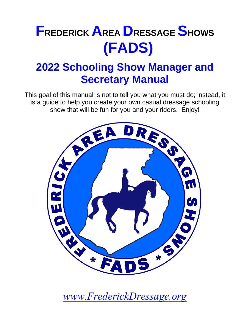# **FREDERICK AREA DRESSAGE SHOWS (FADS)**

# **2022 Schooling Show Manager and Secretary Manual**

This goal of this manual is not to tell you what you must do; instead, it is a guide to help you create your own casual dressage schooling show that will be fun for you and your riders. Enjoy!



*[www.FrederickDressage.org](http://www.frederickdressage.org/)*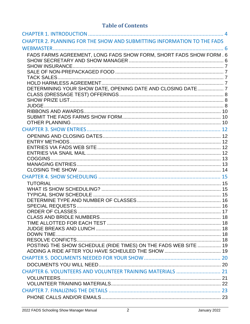# **Table of Contents**

| CHAPTER 2. PLANNING FOR THE SHOW AND SUBMITTING INFORMATION TO THE FADS |  |
|-------------------------------------------------------------------------|--|
|                                                                         |  |
| FADS FARMS AGREEMENT, LONG FADS SHOW FORM, SHORT FADS SHOW FORM . 6     |  |
|                                                                         |  |
|                                                                         |  |
|                                                                         |  |
|                                                                         |  |
|                                                                         |  |
| DETERMINING YOUR SHOW DATE, OPENING DATE AND CLOSING DATE  7            |  |
|                                                                         |  |
|                                                                         |  |
|                                                                         |  |
|                                                                         |  |
|                                                                         |  |
|                                                                         |  |
|                                                                         |  |
|                                                                         |  |
|                                                                         |  |
|                                                                         |  |
|                                                                         |  |
|                                                                         |  |
|                                                                         |  |
|                                                                         |  |
|                                                                         |  |
|                                                                         |  |
|                                                                         |  |
|                                                                         |  |
|                                                                         |  |
|                                                                         |  |
|                                                                         |  |
|                                                                         |  |
|                                                                         |  |
| POSTING THE SHOW SCHEDULE (RIDE TIMES) ON THE FADS WEB SITE  19         |  |
|                                                                         |  |
|                                                                         |  |
|                                                                         |  |
| CHAPTER 6. VOLUNTEERS AND VOLUNTEER TRAINING MATERIALS  21              |  |
|                                                                         |  |
|                                                                         |  |
|                                                                         |  |
|                                                                         |  |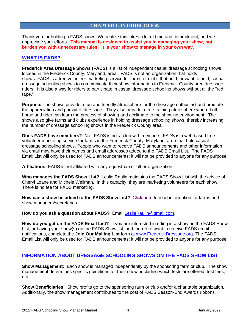#### **CHAPTER 1. INTRODUCTION**

<span id="page-3-0"></span>Thank you for holding a FADS show. We realize this takes a lot of time and commitment, and we appreciate your efforts. **This manual is designed to assist you in managing your show, not burden you with unnecessary rules! It is your show to manage in your own way.**

#### **WHAT IS FADS?**

**Frederick Area Dressage Shows (FADS)** is a list of independent casual dressage schooling shows located in the Frederick County, Maryland, area. FADS is not an organization that holds shows. FADS is a free volunteer marketing service for farms or clubs that hold, or want to hold, casual dressage schooling shows to communicate their show information to Frederick County area dressage riders. It is also a way for riders to participate in casual dressage schooling shows without all the "red tape."

**Purpose:** The shows provide a fun and friendly atmosphere for the dressage enthusiast and promote the appreciation and pursuit of dressage. They also provide a true training atmosphere where both horse and rider can learn the process of showing and acclimate to the showing environment. The shows also give farms and clubs experience in holding dressage schooling shows, thereby increasing the number of dressage schooling shows in the Frederick County area.

**Does FADS have members?** No. FADS is not a club with members. FADS is a web based free volunteer marketing service for farms in the Frederick County, Maryland, area that hold casual dressage schooling shows. People who want to receive FADS announcements and other information via email may have their names and email addresses added to the FADS Email List. The FADS Email List will only be used for FADS announcements; it will not be provided to anyone for any purpose.

**Affiliations:** FADS is not affiliated with any equestrian or other organization.

**Who manages the FADS Show List?** Leslie Raulin maintains the FADS Show List with the advice of Cheryl Loane and Michele Wellman. In this capacity, they are marketing volunteers for each show. There is no fee for FADS marketing.

How can a show be added to the FADS Show List? [Click here](http://www.frederickdressage.org/information-for-farms.html) to read information for farms and show managers/secretaries.

**How do you ask a question about FADS?** Email [LeslieRaulin@gmail.com.](mailto:LeslieRaulin@gmail.com)

**How do you get on the FADS Email List?** If you are interested in riding in a show on the FADS Show List, or having your show(s) on the FADS Show list, and therefore want to receive FADS email notifications, complete the **Join Our Mailing List** form at [www.FrederickDressage.org.](http://www.frederickdressage.org/) The FADS Email List will only be used for FADS announcements; it will not be provided to anyone for any purpose.

#### **INFORMATION ABOUT DRESSAGE SCHOOLING SHOWS ON THE FADS SHOW LIST**

**Show Management:** Each show is managed independently by the sponsoring farm or club. The show management determines specific guidelines for their show, including which tests are offered, test fees, etc.

**Show Beneficiaries:** Show profits go to the sponsoring farm or club and/or a charitable organization. Additionally, the show management contributes to the cost of FADS Season-End Awards ribbons.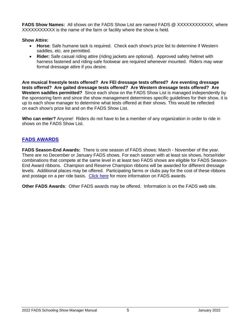FADS Show Names: All shows on the FADS Show List are named FADS @ XXXXXXXXXXXX, where XXXXXXXXXXX is the name of the farm or facility where the show is held.

#### **Show Attire:**

- **Horse**: Safe humane tack is required. Check each show's prize list to determine if Western saddles, etc. are permitted.
- **Rider:** Safe casual riding attire (riding jackets are optional). Approved safety helmet with harness fastened and riding-safe footwear are required whenever mounted. Riders may wear formal dressage attire if you desire.

**Are musical freestyle tests offered? Are FEI dressage tests offered? Are eventing dressage tests offered? Are gaited dressage tests offered? Are Western dressage tests offered? Are Western saddles permitted?** Since each show on the FADS Show List is managed independently by the sponsoring farm and since the show management determines specific guidelines for their show, it is up to each show manager to determine what tests offered at their shows. This would be reflected on each show's prize list and on the FADS Show List.

**Who can enter?** Anyone! Riders do not have to be a member of any organization in order to ride in shows on the FADS Show List.

# **FADS AWARDS**

**FADS Season-End Awards:** There is one season of FADS shows: March - November of the year. There are no December or January FADS shows. For each season with at least six shows, horse/rider combinations that compete at the same level in at least two FADS shows are eligible for FADS Season-End Award ribbons. Champion and Reserve Champion ribbons will be awarded for different dressage levels. Additional places may be offered. Participating farms or clubs pay for the cost of these ribbons and postage on a per ride basis. [Click here](http://www.frederickdressage.org/awards-season-end.html) for more information on FADS awards.

**Other FADS Awards**: Other FADS awards may be offered. Information is on the FADS web site.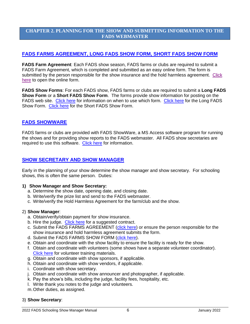#### <span id="page-5-0"></span>**CHAPTER 2. PLANNING FOR THE SHOW AND SUBMITTING INFORMATION TO THE FADS WEBMASTER**

#### <span id="page-5-1"></span>**FADS FARMS AGREEMENT, LONG FADS SHOW FORM, SHORT FADS SHOW FORM**

**FADS Farm Agreement**: Each FADS show season, FADS farms or clubs are required to submit a FADS Farm Agreement, which is completed and submitted as an easy online form. The form is submitted by the person responsible for the show insurance and the hold harmless agreement. [Click](http://frederickdressage.org/fads-farms-agreement.html)  [here](http://frederickdressage.org/fads-farms-agreement.html) to open the online form.

**FADS Show Forms**: For each FADS show, FADS farms or clubs are required to submit a **Long FADS Show Form** or a **Short FADS Show Form**. The forms provide show information for posting on the FADS web site. [Click here](http://www.frederickdressage.org/2-how-to-add-a-show---forms.html) for information on when to use which form. [Click here](http://www.frederickdressage.org/long-fads-show-form.html) for the Long FADS Show Form. [Click here](http://www.frederickdressage.org/short-fads-show-form.html) for the Short FADS Show Form.

#### **FADS SHOWWARE**

FADS farms or clubs are provided with FADS ShowWare, a MS Access software program for running the shows and for providing show reports to the FADS webmaster. All FADS show secretaries are required to use this software. [Click here](http://www.frederickdressage.org/fads-showware.html) for information.

#### <span id="page-5-2"></span>**SHOW SECRETARY AND SHOW MANAGER**

Early in the planning of your show determine the show manager and show secretary. For schooling shows, this is often the same person. Duties:

#### **1) Show Manager and Show Secretary:**

- a. Determine the show date, opening date, and closing date.
- b. Write/verify the prize list and send to the FADS webmaster.
- c. Write/verify the Hold Harmless Agreement for the farm/club and the show.

#### 2) **Show Manager**:

- a. Obtain/verify/obtain payment for show insurance.
- b. Hire the judge. [Click here](http://www.frederickdressage.org/uploads/3/7/3/8/37380471/fads-judgecontracttemplate.docx) for a suggested contract.
- c. Submit the FADS FARMS AGREEMENT [\(click here\)](http://frederickdressage.org/fads-farms-agreement.html) or ensure the person responsible for the show insurance and hold harmless agreement submits the form.
- d. Submit the FADS FARMS SHOW FORM [\(click here\)](http://frederickdressage.org/fads-farms-show-form-long.html).
- e. Obtain and coordinate with the show facility to ensure the facility is ready for the show.
- f. Obtain and coordinate with volunteers (some shows have a separate volunteer coordinator). [Click here](http://www.frederickdressage.org/volunteer-training.html) for volunteer training materials.
- g. Obtain and coordinate with show sponsors, if applicable.
- h. Obtain and coordinate with show vendors, if applicable.
- i. Coordinate with show secretary.
- j. Obtain and coordinate with show announcer and photographer, if applicable.
- k. Pay the show's bills, including the judge, facility fees, hospitality, etc.
- l. Write thank you notes to the judge and volunteers.
- m.Other duties, as assigned.

#### 3) **Show Secretary**: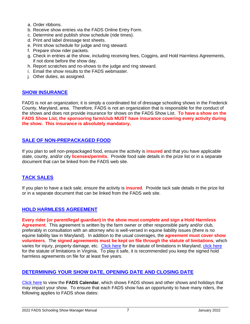- a. Order ribbons.
- b. Receive show entries via the FADS Online Entry Form.
- c. Determine and publish show schedule (ride times).
- d. Print and label dressage test sheets.
- e. Print show schedule for judge and ring steward.
- f. Prepare show rider packets.
- g. Check in entries at the show, including receiving fees, Coggins, and Hold Harmless Agreements, if not done before the show day.
- h. Report scratches and no-shows to the judge and ring steward.
- i. Email the show results to the FADS webmaster.
- j. Other duties, as assigned.

#### <span id="page-6-0"></span>**SHOW INSURANCE**

FADS is not an organization; it is simply a coordinated list of dressage schooling shows in the Frederick County, Maryland, area. Therefore, FADS is not an organization that is responsible for the conduct of the shows and does not provide insurance for shows on the FADS Show List. **To have a show on the FADS Show List, the sponsoring farm/club MUST have insurance covering every activity during the show. This insurance is absolutely mandatory.**

#### <span id="page-6-1"></span>**SALE OF NON-PREPACKAGED FOOD**

If you plan to sell non-prepackaged food, ensure the activity is **insured** and that you have applicable state, county, and/or city **licenses/permits**. Provide food sale details in the prize list or in a separate document that can be linked from the FADS web site.

#### <span id="page-6-2"></span>**TACK SALES**

If you plan to have a tack sale, ensure the activity is **insured**. Provide tack sale details in the prize list or in a separate document that can be linked from the FADS web site.

#### <span id="page-6-3"></span>**HOLD HARMLESS AGREEMENT**

**Every rider (or parent/legal guardian) in the show must complete and sign a Hold Harmless Agreement**. This agreement is written by the farm owner or other responsible party and/or club, preferably in consultation with an attorney who is well-versed in equine liability issues (there is no equine liability law in Maryland). In addition to the usual coverages, the **agreement must cover show volunteers**. The **signed agreements must be kept on file through the statute of limitations**, which varies for injury, property damage, etc. [Click here](http://research.lawyers.com/maryland/maryland-statutes-of-limitations.html) for the statute of limitations in Maryland; [click here](http://research.lawyers.com/virginia/virginia-statutes-of-limitations.html) for the statute of limitations in Virginia. To play it safe, it is recommended you keep the signed hold harmless agreements on file for at least five years.

#### <span id="page-6-4"></span>**DETERMINING YOUR SHOW DATE, OPENING DATE AND CLOSING DATE**

[Click here](http://www.frederickdressage.org/calendar-fads--others.html) to view the **FADS Calendar**, which shows FADS shows and other shows and holidays that may impact your show. To ensure that each FADS show has an opportunity to have many riders, the following applies to FADS show dates: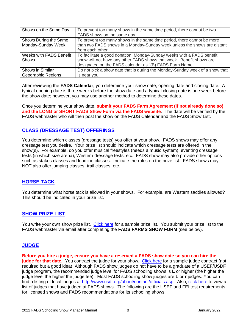| Shows on the Same Day                       | To prevent too many shows in the same time period, there cannot be two<br>FADS shows on the same day.                                                                                                      |
|---------------------------------------------|------------------------------------------------------------------------------------------------------------------------------------------------------------------------------------------------------------|
| Shows During the Same<br>Monday-Sunday Week | To prevent too many shows in the same time period, there cannot be more<br>than two FADS shows in a Monday-Sunday week unless the shows are distant<br>from each other.                                    |
| Weeks with FADS Benefit<br><b>Shows</b>     | To facilitate a good donation, Monday-Sunday weeks with a FADS benefit<br>show will not have any other FADS shows that week. Benefit shows are<br>designated on the FADS calendar as "(B) FADS Farm Name." |
| Shows in Similar<br>Geographic Regions      | Do not pick a show date that is during the Monday-Sunday week of a show that<br>is near you.                                                                                                               |

After reviewing the **FADS Calendar**, you determine your show date, opening date and closing date. A typical opening date is three weeks before the show date and a typical closing date is one week before the show date; however, you may use another method to determine these dates.

Once you determine your show date, **submit your FADS Farm Agreement (if not already done so) and the LONG or SHORT FADS Show Form via the FADS website**. The date will be verified by the FADS webmaster who will then post the show on the FADS Calendar and the FADS Show List.

#### <span id="page-7-0"></span>**CLASS (DRESSAGE TEST) OFFERINGS**

You determine which classes (dressage tests) you offer at your show. FADS shows may offer any dressage test you desire. Your prize list should indicate which dressage tests are offered in the show(s). For example, do you offer musical freestyles (needs a music system), eventing dressage tests (in which size arena), Western dressage tests, etc. FADS show may also provide other options such as stakes classes and leadline classes. Indicate the rules on the prize list. FADS shows may NOT also offer jumping classes, trail classes, etc.

#### **HORSE TACK**

You determine what horse tack is allowed in your shows. For example, are Western saddles allowed? This should be indicated in your prize list.

#### <span id="page-7-1"></span>**SHOW PRIZE LIST**

You write your own show prize list. [Click here](http://www.frederickdressage.org/uploads/3/7/3/8/37380471/fads-prizelisttemplate.docx) for a sample prize list. You submit your prize list to the FADS webmaster via email after completing the **FADS FARMS SHOW FORM** (see below).

#### <span id="page-7-2"></span>**JUDGE**

**Before you hire a judge, ensure you have a reserved a FADS show date so you can hire the**  judge for that date. You contract the judge for your show. [Click here](http://www.frederickdressage.org/uploads/3/7/3/8/37380471/fads-judgecontracttemplate.docx) for a sample judge contract (not required but a good idea). Although FADS show judges do not have to be a graduate of a USEF/USDF judge program, the recommended judge level for FADS schooling shows is **L** or higher (the higher the judge level the higher the judge fee). Most FADS schooling show judges are **L** or **r** judges. You can find a listing of local judges at [http://www.usdf.org/about/contact/officials.asp.](http://www.usdf.org/about/contact/officials.asp) Also, [click here](http://www.frederickdressage.org/judge-list.html) to view a list of judges that have judged at FADS shows. The following are the USEF and FEI test requirements for licensed shows and FADS recommendations for its schooling shows: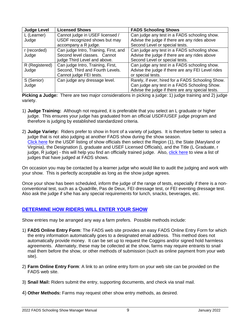| <b>Judge Level</b> | <b>Licensed Shows</b>                 | <b>FADS Schooling Shows</b>                       |
|--------------------|---------------------------------------|---------------------------------------------------|
| L (Learner)        | Cannot judge in USEF licensed /       | Can judge any test in a FADS schooling show.      |
| Judge              | USDF recognized shows but may         | Advise the judge if there are any rides above     |
|                    | accompany a R judge.                  | Second Level or special tests.                    |
| r (recorded)       | Can judge Intro, Training, First, and | Can judge any test in a FADS schooling show.      |
| Judge              | Second level classes. Cannot          | Advise the judge if there are any rides above     |
|                    | judge Third Level and above.          | Second Level or special tests.                    |
| R (Registered)     | Can judge Intro, Training, First,     | Can judge any test in a FADS schooling show.      |
| Judge              | Second, Third and Fourth Levels.      | Advise the judge if there are any FEI Level rides |
|                    | Cannot judge FEI tests.               | or special tests.                                 |
| S (Senior)         | Can judge any dressage level.         | Rarely, if ever, hired for a FADS Schooling Show. |
| Judge              |                                       | Can judge any test in a FADS Schooling Show.      |
|                    |                                       | Advise the judge if there are any special tests.  |

**Picking a Judge:** There are two major considerations in picking a judge: 1) judge training and 2) judge variety.

- 1) **Judge Training:** Although not required, it is preferable that you select an L graduate or higher judge. This ensures your judge has graduated from an official USDF/USEF judge program and therefore is judging by established standardized criteria.
- 2) **Judge Variety:** Riders prefer to show in front of a variety of judges. It is therefore better to select a judge that is not also judging at another FADS show during the show season. [Click here](http://www.usdf.org/about/contact/officials.asp) for the USDF listing of show officials then select the Region (1), the State (Maryland or Virginia), the Designation (L graduate and USEF Licensed Officials), and the Title (L Graduate, r judge, R judge) - this will help you find an officially trained judge. Also, [click here](http://frederickdressage.org/judges-list.html) to view a list of judges that have judged at FADS shows.

On occasion you may be contacted by a learner judge who would like to audit the judging and work with your show. This is perfectly acceptable as long as the show judge agrees.

Once your show has been scheduled, inform the judge of the range of tests, especially if there is a nonconventional test, such as a Quadrille, Pas de Deux, FEI dressage test, or FEI eventing dressage test. Also ask the judge if s/he has any special requirements for lunch, snacks, beverages, etc.

#### **DETERMINE HOW RIDERS WILL ENTER YOUR SHOW**

Show entries may be arranged any way a farm prefers. Possible methods include:

- 1) **FADS Online Entry Form**: The FADS web site provides an easy FADS Online Entry Form for which the entry information automatically goes to a designated email address. This method does not automatically provide money. It can be set up to request the Coggins and/or signed hold harmless agreements. Alternately, these may be collected at the show, farms may require entrants to snail mail them before the show, or other methods of submission (such as online payment from your web site).
- 2) **Farm Online Entry Form**: A link to an online entry form on your web site can be provided on the FADS web site.
- 3) **Snail Mail:** Riders submit the entry, supporting documents, and check via snail mail.
- 4) **Other Methods:** Farms may request other show entry methods, as desired.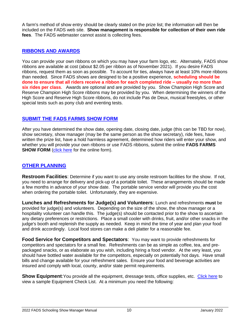A farm's method of show entry should be clearly stated on the prize list; the information will then be included on the FADS web site. **Show management is responsible for collection of their own ride fees**. The FADS webmaster cannot assist is collecting fees.

#### <span id="page-9-0"></span>**RIBBONS AND AWARDS**

You can provide your own ribbons on which you may have your farm logo, etc. Alternately, FADS show ribbons are available at cost (about \$2.05 per ribbon as of November 2021). If you desire FADS ribbons, request them as soon as possible. To account for ties, always have at least 10% more ribbons than needed. Since FADS shows are designed to be a positive experience, **scheduling should be done to ensure that all riders receive a ribbon for each completed ride – usually no more than six rides per class**. Awards are optional and are provided by you. Show Champion High Score and Reserve Champion High Score ribbons may be provided by you. When determining the winners of the High Score and Reserve High Score ribbons, do not include Pas de Deux, musical freestyles, or other special tests such as pony club and eventing tests.

#### <span id="page-9-1"></span>**SUBMIT THE FADS FARMS SHOW FORM**

After you have determined the show date, opening date, closing date, judge (this can be TBD for now), show secretary, show manager (may be the same person as the show secretary), ride fees, have written the prize list, have a hold harmless agreement, determined how riders will enter your show, and whether you will provide your own ribbons or use FADS ribbons, submit the online **FADS FARMS SHOW FORM** [\(click here](http://www.frederickdressage.org/2-how-to-add-a-show---forms.html) for the online form).

#### <span id="page-9-2"></span>**OTHER PLANNING**

**Restroom Facilities**: Determine if you want to use any onsite restroom facilities for the show. If not, you need to arrange for delivery and pick-up of a portable toilet. These arrangements should be made a few months in advance of your show date. The portable service vendor will provide you the cost when ordering the portable toilet. Unfortunately, they are expensive.

**Lunches and Refreshments for Judge(s) and Volunteers**: Lunch and refreshments **must** be provided for judge(s) and volunteers. Depending on the size of the show, the show manager or a hospitality volunteer can handle this. The judge(s) should be contacted prior to the show to ascertain any dietary preferences or restrictions. Place a small cooler with drinks, fruit, and/or other snacks in the judge's booth and replenish the supply as needed. Keep in mind the time of year and plan your food and drink accordingly. Local food stores can make a deli platter for a reasonable fee.

**Food Service for Competitors and Spectators**: You may want to provide refreshments for competitors and spectators for a small fee. Refreshments can be as simple as coffee, tea, and prepackaged snacks, or as elaborate as you wish, including hiring a food vendor. At the very least, you should have bottled water available for the competitors, especially on potentially hot days. Have small bills and change available for your refreshment sales. Ensure your food and beverage activities are insured and comply with local, county, and/or state permit requirements.

**Show Equipment:** You provide all the equipment, dressage tests, office supplies, etc. [Click here](http://www.frederickdressage.org/uploads/3/7/3/8/37380471/fads-showequipmentchecklist.docx) to view a sample Equipment Check List. At a minimum you need the following: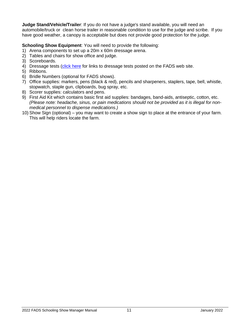**Judge Stand/Vehicle/Trailer**: If you do not have a judge's stand available, you will need an automobile/truck or clean horse trailer in reasonable condition to use for the judge and scribe. If you have good weather, a canopy is acceptable but does not provide good protection for the judge.

#### **Schooling Show Equipment:** You will need to provide the following:

- 1) Arena components to set up a 20m x 60m dressage arena.
- 2) Tables and chairs for show office and judge.
- 3) Scoreboards.
- 4) Dressage tests [\(click here](http://www.frederickdressage.org/info-dressage-tests.html) for links to dressage tests posted on the FADS web site.
- 5) Ribbons.
- 6) Bridle Numbers (optional for FADS shows).
- 7) Office supplies: markers, pens (black & red), pencils and sharpeners, staplers, tape, bell, whistle, stopwatch, staple gun, clipboards, bug spray, etc.
- 8) Scorer supplies: calculators and pens.
- 9) First Aid Kit which contains basic first aid supplies: bandages, band-aids, antiseptic, cotton, etc. *(Please note: headache, sinus, or pain medications should not be provided as it is illegal for nonmedical personnel to dispense medications.)*
- 10) Show Sign (optional) you may want to create a show sign to place at the entrance of your farm. This will help riders locate the farm.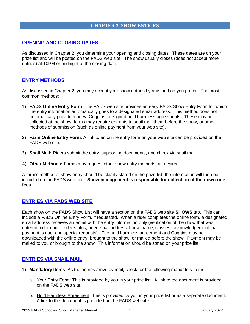#### **CHAPTER 3. SHOW ENTRIES**

#### <span id="page-11-1"></span><span id="page-11-0"></span>**OPENING AND CLOSING DATES**

As discussed in Chapter 2, you determine your opening and closing dates. These dates are on your prize list and will be posted on the FADS web site. The show usually closes (does not accept more entries) at 10PM or midnight of the closing date.

#### <span id="page-11-2"></span>**ENTRY METHODS**

As discussed in Chapter 2, you may accept your show entries by any method you prefer. The most common methods:

- 1) **FADS Online Entry Form**: The FADS web site provides an easy FADS Show Entry Form for which the entry information automatically goes to a designated email address. This method does not automatically provide money, Coggins, or signed hold harmless agreements. These may be collected at the show, farms may require entrants to snail mail them before the show, or other methods of submission (such as online payment from your web site).
- 2) **Farm Online Entry Form**: A link to an online entry form on your web site can be provided on the FADS web site.
- 3) **Snail Mail:** Riders submit the entry, supporting documents, and check via snail mail.
- 4) **Other Methods:** Farms may request other show entry methods, as desired.

A farm's method of show entry should be clearly stated on the prize list; the information will then be included on the FADS web site. **Show management is responsible for collection of their own ride fees**.

#### <span id="page-11-3"></span>**ENTRIES VIA FADS WEB SITE**

Each show on the FADS Show List will have a section on the FADS web site **SHOWS** tab. This can include a FADS Online Entry Form, if requested. When a rider completes the online form, a designated email address receives an email with the entry information only (verification of the show that was entered, rider name, rider status, rider email address, horse name, classes, acknowledgement that payment is due, and special requests). The hold harmless agreement and Coggins may be downloaded with the online entry, brought to the show, or mailed before the show. Payment may be mailed to you or brought to the show. This information should be stated on your prize list.

#### <span id="page-11-4"></span>**ENTRIES VIA SNAIL MAIL**

- 1) **Mandatory Items**: As the entries arrive by mail, check for the following mandatory items:
	- a. Your Entry Form: This is provided by you in your prize list. A link to the document is provided on the FADS web site.
	- b. Hold Harmless Agreement: This is provided by you in your prize list or as a separate document. A link to the document is provided on the FADS web site.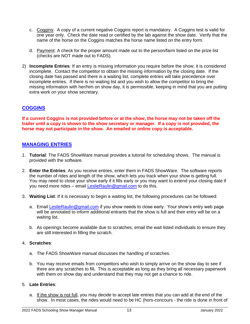- c. Coggins: A copy of a current negative Coggins report is mandatory. A Coggins test is valid for one year only. Check the date read or certified by the lab against the show date. Verify that the name of the horse on the Coggins matches the horse name listed on the entry form.
- d. Payment: A check for the proper amount made out to the person/farm listed on the prize list (checks are NOT made out to FADS).
- 2) **Incomplete Entries**: If an entry is missing information you require before the show, it is considered incomplete. Contact the competitor to obtain the missing information by the closing date. If the closing date has passed and there is a waiting list, complete entries will take precedence over incomplete entries. If there is no waiting list and you wish to allow the competitor to bring the missing information with her/him on show day, it is permissible, keeping in mind that you are putting extra work on your show secretary.

# <span id="page-12-0"></span>**COGGINS**

**If a current Coggins is not provided before or at the show, the horse may not be taken off the trailer until a copy is shown to the show secretary or manager. If a copy is not provided, the horse may not participate in the show. An emailed or online copy is acceptable.**

#### <span id="page-12-1"></span>**MANAGING ENTRIES**

- 1. **Tutorial**: The FADS ShowWare manual provides a tutorial for scheduling shows. The manual is provided with the software.
- 2. **Enter the Entries**: As you receive entries, enter them in FADS ShowWare. The software reports the number of rides and length of the show, which lets you track when your show is getting full. You may need to close your show early if it fills early or you may want to extend your closing date if you need more rides – email [LeslieRaulin@gmail.com](mailto:LeslieRaulin@gmail.com) to do this.
- 3. **Waiting List**: If it is necessary to begin a waiting list, the following procedures can be followed:
	- a. Email [LeslieRaulin@gmail.com](mailto:LeslieRaulin@gmail.com) if you show needs to close early. Your show's entry web page will be annotated to inform additional entrants that the show is full and their entry will be on a waiting list.
	- b. As openings become available due to scratches, email the wait listed individuals to ensure they are still interested in filling the scratch.

#### 4. **Scratches**:

- a. The FADS ShowWare manual discusses the handling of scratches.
- b. You may receive emails from competitors who wish to simply arrive on the show day to see if there are any scratches to fill**.** This is acceptable as long as they bring all necessary paperwork with them on show day and understand that they may not get a chance to ride.

#### 5. **Late Entries**:

a. If the show is not full, you may decide to accept late entries that you can add at the end of the show. In most cases, the rides would need to be HC (hors-concours - the ride is done in front of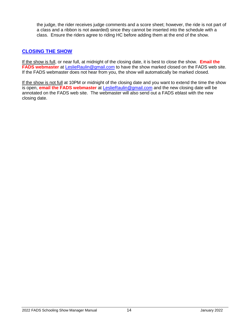the judge, the rider receives judge comments and a score sheet; however, the ride is not part of a class and a ribbon is not awarded) since they cannot be inserted into the schedule with a class. Ensure the riders agree to riding HC before adding them at the end of the show.

## <span id="page-13-0"></span>**CLOSING THE SHOW**

If the show is full, or near full, at midnight of the closing date, it is best to close the show. **Email the FADS webmaster** at **LeslieRaulin@gmail.com** to have the show marked closed on the FADS web site. If the FADS webmaster does not hear from you, the show will automatically be marked closed.

If the show is not full at 10PM or midnight of the closing date and you want to extend the time the show is open, **email the FADS webmaster** at [LeslieRaulin@gmail.com](mailto:LeslieRaulin@gmail.com) and the new closing date will be annotated on the FADS web site. The webmaster will also send out a FADS eblast with the new closing date.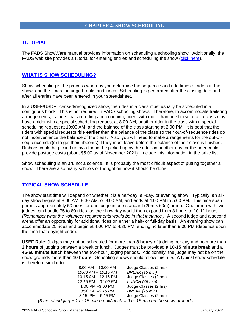#### <span id="page-14-1"></span><span id="page-14-0"></span>**TUTORIAL**

The FADS ShowWare manual provides information on scheduling a schooling show. Additionally, the FADS web site provides a tutorial for entering entries and scheduling the show [\(click here\)](http://www.frederickdressage.org/management-suggestions.html).

#### <span id="page-14-2"></span>**WHAT IS SHOW SCHEDULING?**

Show scheduling is the process whereby you determine the sequence and ride times of riders in the show, and the times for judge breaks and lunch. Scheduling is performed after the closing date and after all entries have been entered in your spreadsheet.

In a USEF/USDF licensed/recognized show, the rides in a class must usually be scheduled in a contiguous block. This is not required in FADS schooling shows. Therefore, to accommodate trailering arrangements, trainers that are riding and coaching, riders with more than one horse, etc., a class may have a rider with a special scheduling request at 8:00 AM, another rider in the class with a special scheduling request at 10:00 AM, and the balance of the class starting at 2:00 PM. It is best that the riders with special requests ride **earlier** than the balance of the class so their out-of-sequence rides do not inconvenience the balance of the class. Also, you will need to make arrangements for the out-ofsequence rider(s) to get their ribbon(s) if they must leave before the balance of their class is finished. Ribbons could be picked up by a friend, be picked up by the rider on another day, or the rider could provide postage costs (about \$5.00 as of November 2021). Include this information in the prize list.

Show scheduling is an art, not a science. It is probably the most difficult aspect of putting together a show. There are also many schools of thought on how it should be done.

#### <span id="page-14-3"></span>**TYPICAL SHOW SCHEDULE**

The show start time will depend on whether it is a half-day, all-day, or evening show. Typically, an allday show begins at 8:00 AM, 8:30 AM, or 9:00 AM, and ends at 4:00 PM to 5:00 PM. This time span permits approximately 50 rides for one judge in one standard (20m x 60m) arena. One arena with two judges can handle 75 to 80 rides, as the show day would then expand from 8 hours to 10-11 hours. *(Remember what the volunteer requirements would be in that instance.)* A second judge and a second arena offer an opportunity for additional rides on either a half- or full-day basis. An evening show can accommodate 25 rides and begin at 4:00 PM to 4:30 PM, ending no later than 9:00 PM (depends upon the time that daylight ends).

**USEF Rule**: Judges may not be scheduled for more than **8 hours** of judging per day and no more than **2 hours** of judging between a break or lunch. Judges must be provided a **10-15 minute break** and a **45-60 minute lunch** between the two-hour judging periods. Additionally, the judge may not be on the show grounds more than **10 hours**. Schooling shows should follow this rule. A typical show schedule is therefore similar to:

| $8:00$ AM $-$ 10:00 AM                                                          | Judge Classes (2 hrs) |
|---------------------------------------------------------------------------------|-----------------------|
| 10:00 AM - 10:15 AM                                                             | BREAK (15 min)        |
| $10:15$ AM $-$ 12:15 PM                                                         | Judge Classes (2 hrs) |
| 12:15 PM - 01:00 PM                                                             | LUNCH (45 min)        |
| 1:00 PM -3:00 PM                                                                | Judge Classes (2 hrs) |
| $3:00$ PM $-3:15$ PM                                                            | BREAK (15 min)        |
| $3:15$ PM $-5:15$ PM                                                            | Judge Classes (2 hrs) |
| (8 hrs of judging $+ 1$ hr 15 min break/lunch = 9 hr 15 min on the show grounds |                       |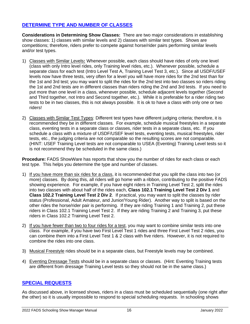# <span id="page-15-0"></span>**DETERMINE TYPE AND NUMBER OF CLASSES**

**Considerations in Determining Show Classes:** There are two major considerations in establishing show classes: 1) classes with similar levels and 2) classes with similar test types. Shows are competitions; therefore, riders prefer to compete against horse/rider pairs performing similar levels and/or test types.

- 1) Classes with Similar Levels**:** Whenever possible, each class should have rides of only one level (class with only Intro level rides, only Training level rides, etc.). Whenever possible, schedule a separate class for each test (Intro Level Test A, Training Level Test 3, etc.). Since all USDF/USEF levels now have three tests, very often for a level you will have more rides for the 2nd test than for the 1st and 3rd test; you may want to split the rides for the 2nd test into two classes so riders riding the 1st and 2nd tests are in different classes than riders riding the 2nd and 3rd tests. If you need to put more than one level in a class, whenever possible, schedule adjacent levels together (Second and Third together, not Intro and Second together, etc.). While it is preferable for a rider riding two tests to be in two classes, this is not always possible. It is ok to have a class with only one or two riders!
- 2) Classes with Similar Test Types: Different test types have different judging criteria; therefore, it is recommended they be in different classes. For example, schedule musical freestyles in a separate class, eventing tests in a separate class or classes, rider tests in a separate class, etc. If you schedule a class with a mixture of USDF/USEF level tests, eventing tests, musical freestyles, rider tests, etc., the judging criteria are not comparable so the resulting scores are not comparable. (HINT: USEF Training Level tests are not comparable to USEA (Eventing) Training Level tests so it is not recommend they be scheduled in the same class.)

**Procedure:** FADS ShowWare has reports that show you the number of rides for each class or each test type. This helps you determine the type and number of classes.

- 1) If you have more than six rides for a class, it is recommended that you split the class into two (or more) classes. By doing this, all riders will go home with a ribbon, contributing to the positive FADS showing experience. For example, if you have eight riders in Training Level Test 2, split the rides into two classes with about half of the rides each, **Class 102.1 Training Level Test 2 Div 1** and **Class 102.2 Training Level Test 2 Div 2**. If practical, you may want to split the classes by rider status (Professional, Adult Amateur, and Junior/Young Rider). Another way to split is based on the other rides the horse/rider pair is performing. If they are riding Training 1 and Training 2, put these riders in Class 102.1 Training Level Test 2. If they are riding Training 2 and Training 3, put these riders in Class 102.2 Training Level Test 2.
- 2) If you have fewer than two to four rides for a test, you may want to combine similar tests into one class. For example, if you have two First Level Test 1 rides and three First Level Test 2 rides, you can combine them into a First Level Test 1 & 2 class with five riders. However, it is not required to combine the rides into one class.
- 3) Musical Freestyle rides should be in a separate class, but Freestyle levels may be combined.
- 4) Eventing Dressage Tests should be in a separate class or classes. (Hint: Eventing Training tests are different from dressage Training Level tests so they should not be in the same class.)

#### <span id="page-15-1"></span>**SPECIAL REQUESTS**

As discussed above, in licensed shows, riders in a class must be scheduled sequentially (one right after the other) so it is usually impossible to respond to special scheduling requests. In schooling shows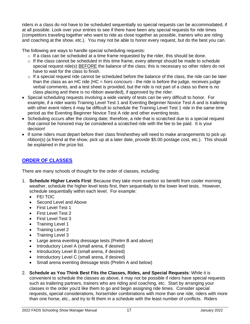riders in a class do not have to be scheduled sequentially so special requests can be accommodated, if at all possible. Look over your entries to see if there have been any special requests for ride times (competitors traveling together who want to ride as close together as possible, trainers who are riding and coaching at the show, etc.). You may not be able to honor every request, but do the best you can.

The following are ways to handle special scheduling requests:

- $\circ$  If a class can be scheduled at a time frame requested by the rider, this should be done.
- o If the class cannot be scheduled in this time frame, every attempt should be made to schedule special request ride(s) BEFORE the balance of the class; this is necessary so other riders do not have to wait for the class to finish.
- $\circ$  If a special request ride cannot be scheduled before the balance of the class, the ride can be later than the class as an HC ride (HC = *hors concours* - the ride is before the judge, receives judge verbal comments, and a test sheet is provided, but the ride is not part of a class so there is no class placing and there is no ribbon awarded), if approved by the rider.
- Special scheduling requests involving a wide variety of tests can be very difficult to honor. For example, if a rider wants Training Level Test 1 and Eventing Beginner Novice Test A and is trailering with other event riders it may be difficult to schedule the Training Level Test 1 ride in the same time period as the Eventing Beginner Novice Test A ride and other eventing tests.
- Scheduling occurs after the closing date; therefore, a ride that is scratched due to a special request that cannot be honored may be considered a scratched ride with the fee to be paid. It is your decision!
- If some riders must depart before their class finishesthey will need to make arrangements to pick up ribbon(s) (a friend at the show, pick up at a later date, provide \$5.00 postage cost, etc.). This should be explained in the prize list.

# <span id="page-16-0"></span>**ORDER OF CLASSES**

There are many schools of thought for the order of classes, including:

- 1. **Schedule Higher Levels First**: Because they take more exertion so benefit from cooler morning weather, schedule the higher level tests first, then sequentially to the lower level tests. However, schedule sequentially within each level. For example:
	- FEI TOC
	- Second Level and Above
	- First Level Test 1
	- First Level Test 2
	- First Level Test 3
	- Training Level 1
	- Training Level 2
	- Training Level 3
	- Large arena eventing dressage tests (Prelim B and above)
	- Introductory Level A (small arena, if desired)
	- Introductory Level B (small arena, if desired)
	- Introductory Level C (small arena, if desired)
	- Small arena eventing dressage tests (Prelim A and below)
- 2. **Schedule as You Think Best Fits the Classes, Rides, and Special Requests**: While it is convenient to schedule the classes as above, it may not be possible if riders have special requests such as trailering partners, trainers who are riding and coaching, etc. Start by arranging your classes in the order you'd like them to go and begin assigning ride times. Consider special requests, special considerations, horse/rider combinations with more than one ride, riders with more than one horse, etc., and try to fit them in a schedule with the least number of conflicts. Riders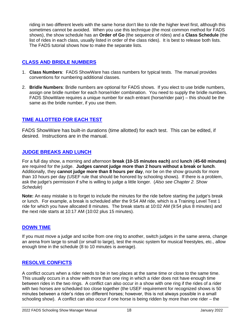riding in two different levels with the same horse don't like to ride the higher level first, although this sometimes cannot be avoided. When you use this technique (the most common method for FADS shows), the show schedule has an **Order of Go** (the sequence of rides) and a **Class Schedule** (the list of rides in each class, usually listed in order of the class rides). It is best to release both lists. The FADS tutorial shows how to make the separate lists.

# <span id="page-17-0"></span>**CLASS AND BRIDLE NUMBERS**

- 1. **Class Numbers**: FADS ShowWare has class numbers for typical tests. The manual provides conventions for numbering additional classes.
- 2. **Bridle Numbers**: Bridle numbers are optional for FADS shows. If you elect to use bridle numbers, assign one bridle number for each horse/rider combination. You need to supply the bridle numbers. FADS ShowWare requires a unique number for each entrant (horse/rider pair) – this should be the same as the bridle number, if you use them.

## <span id="page-17-1"></span>**TIME ALLOTTED FOR EACH TEST**

FADS ShowWare has built-in durations (time allotted) for each test. This can be edited, if desired. Instructions are in the manual.

#### <span id="page-17-2"></span>**JUDGE BREAKS AND LUNCH**

For a full day show, a morning and afternoon **break (10-15 minutes each)** and **lunch** (**45-60 minutes)** are required for the judge. **Judges cannot judge more than 2 hours without a break or lunch**. Additionally, they **cannot judge more than 8 hours per day**, nor be on the show grounds for more than 10 hours per day (USEF rule that should be honored by schooling shows). If there is a problem, ask the judge's permission if s/he is willing to judge a little longer. (*Also see Chapter 2. Show Schedule*)

**Note:** An easy mistake is to forget to include the minutes for the ride before starting the judge's break or lunch.For example, a break is scheduled after the 9:54 AM ride, which is a Training Level Test 1 ride for which you have allocated 8 minutes. The break starts at 10:02 AM (9:54 plus 8 minutes) and the next ride starts at 10:17 AM (10:02 plus 15 minutes).

#### <span id="page-17-3"></span>**DOWN TIME**

If you must move a judge and scribe from one ring to another, switch judges in the same arena, change an arena from large to small (or small to large), test the music system for musical freestyles, etc., allow enough time in the schedule (8 to 10 minutes is average).

#### <span id="page-17-4"></span>**RESOLVE CONFICTS**

A conflict occurs when a rider needs to be in two places at the same time or close to the same time. This usually occurs in a show with more than one ring in which a rider does not have enough time between rides in the two rings. A conflict can also occur in a show with one ring if the rides of a rider with two horses are scheduled too close together (the USEF requirement for recognized shows is 50 minutes between a rider's rides on different horses; however, this is not always possible in a small schooling show). A conflict can also occur if one horse is being ridden by more than one rider – the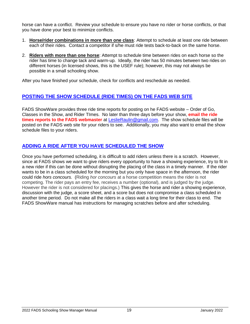horse can have a conflict. Review your schedule to ensure you have no rider or horse conflicts, or that you have done your best to minimize conflicts.

- 1. **Horse/rider combinations in more than one class**: Attempt to schedule at least one ride between each of their rides. Contact a competitor if s/he must ride tests back-to-back on the same horse.
- 2. **Riders with more than one horse**: Attempt to schedule time between rides on each horse so the rider has time to change tack and warm-up. Ideally, the rider has 50 minutes between two rides on different horses (in licensed shows, this is the USEF rule); however, this may not always be possible in a small schooling show.

After you have finished your schedule, check for conflicts and reschedule as needed.

#### <span id="page-18-0"></span>**POSTING THE SHOW SCHEDULE (RIDE TIMES) ON THE FADS WEB SITE**

FADS ShowWare provides three ride time reports for posting on he FADS website – Order of Go, Classes in the Show, and Rider TImes. No later than three days before your show, **email the ride times reports to the FADS webmaster** at [LeslieRaulin@gmail.com.](mailto:LeslieRaulin@gmail.com) The show schedule files will be posted on the FADS web site for your riders to see. Additionally, you may also want to email the show schedule files to your riders.

#### <span id="page-18-1"></span>**ADDING A RIDE AFTER YOU HAVE SCHEDULED THE SHOW**

Once you have performed scheduling, it is difficult to add riders unless there is a scratch. However, since at FADS shows we want to give riders every opportunity to have a showing experience, try to fit in a new rider if this can be done without disrupting the placing of the class in a timely manner. If the rider wants to be in a class scheduled for the morning but you only have space in the afternoon, the rider could ride *hors concours.* (Riding *hor concours* at a horse competition means the rider is not competing. The rider pays an entry fee, receives a number (optional), and is judged by the judge. However the rider is not considered for placings.) This gives the horse and rider a showing experience, discussion with the judge, a score sheet, and a score but does not compromise a class scheduled in another time period. Do not make all the riders in a class wait a long time for their class to end. The FADS ShowWare manual has instructions for managing scratches before and after scheduling.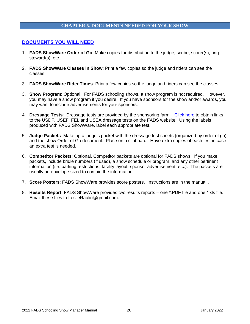#### **CHAPTER 5. DOCUMENTS NEEDED FOR YOUR SHOW**

#### <span id="page-19-1"></span><span id="page-19-0"></span>**DOCUMENTS YOU WILL NEED**

- 1. **FADS ShowWare Order of Go**: Make copies for distribution to the judge, scribe, scorer(s), ring steward(s), etc..
- 2. **FADS ShowWare Classes in Show**: Print a few copies so the judge and riders can see the classes.
- 3. **FADS ShowWare Rider Times**: Print a few copies so the judge and riders can see the classes.
- 3. **Show Program**: Optional. For FADS schooling shows, a show program is not required. However, you may have a show program if you desire. If you have sponsors for the show and/or awards, you may want to include advertisements for your sponsors.
- 4. **Dressage Tests**: Dressage tests are provided by the sponsoring farm. [Click here](http://www.frederickdressage.org/info-dressage-tests.html) to obtain links to the USDF, USEF, FEI, and USEA dressage tests on the FADS website. Using the labels produced with FADS ShowWare, label each appropriate test.
- 5. **Judge Packets**: Make up a judge's packet with the dressage test sheets (organized by order of go) and the show Order of Go document. Place on a clipboard. Have extra copies of each test in case an extra test is needed.
- 6. **Competitor Packets**: Optional. Competitor packets are optional for FADS shows. If you make packets, include bridle numbers (if used), a show schedule or program, and any other pertinent information (i.e. parking restrictions, facility layout, sponsor advertisement, etc.). The packets are usually an envelope sized to contain the information.
- 7. **Score Posters**: FADS ShowWare provides score posters. Instructions are in the manual..
- 8. **Results Report**: FADS ShowWare provides two results reports one \*.PDF file and one \*.xls file. Email these files to LeslieRaulin@gmail.com.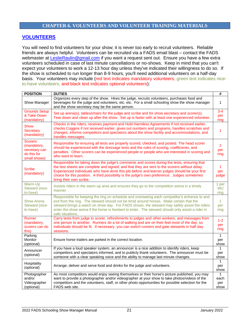#### **CHAPTER 6. VOLUNTEERS AND VOLUNTEER TRAINING MATERIALS**

#### <span id="page-20-1"></span><span id="page-20-0"></span>**VOLUNTEERS**

You will need to find volunteers for your show; it is never too early to recruit volunteers. Reliable friends are always helpful. Volunteers can be recruited via a FADS email blast – contact the FADS webmaster at [LeslieRaulin@gmail.com](mailto:LeslieRaulin@gmail.com) if you want a request sent out. Ensure you have a few extra volunteers scheduled in case of last minute cancellations or no-shows. Keep in mind that you can't expect your volunteers to work a 12-13 hour day unless they've indicated their willingness to do so. If the show is scheduled to run longer than 8-9 hours, you'll need additional volunteers on a half-day basis. Your volunteers may include (red text indicates mandatory volunteers, green text indicates niceto-have volunteers, and black text indicates optional volunteers):

| <b>POSITION</b>                                                               | <b>DUTIES</b>                                                                                                                                                                                                                                                                                                                                                                                                             | $\#$                          |
|-------------------------------------------------------------------------------|---------------------------------------------------------------------------------------------------------------------------------------------------------------------------------------------------------------------------------------------------------------------------------------------------------------------------------------------------------------------------------------------------------------------------|-------------------------------|
| Show Manager                                                                  | Organizes every step of the show. Hires the judge, recruits volunteers, purchases food and<br>beverages for the judge and volunteers, etc. etc. For a small schooling show the show manager<br>and the show secretary may be the same person.                                                                                                                                                                             | $\mathbf{1}$                  |
| <b>Grounds Setup</b><br>& Take-Down<br>(mandatory)                            | Set up arena(s), tables/chairs for the judge and scribe and for show secretary and scorer(s).<br>Tear down and clean up after the show. Set up is faster with at least one experienced volunteer.                                                                                                                                                                                                                         | $3 - 4$<br>per<br>ring        |
| Show<br>Secretary<br>(mandatory)                                              | Checks in the riders, receives payment and Hold Harmless Agreements if not received earlier,<br>checks Coggins if not received earlier, gives out numbers and programs, handles scratches and<br>changes, informs competitors and spectators about the show facility and accommodations, and<br>handles messages.                                                                                                         | 1                             |
| <b>Scorers</b><br>(mandatory,<br>secretary can<br>do this for<br>small shows) | Responsible for ensuring all tests are properly scored, checked, and posted. The head scorer<br>should be experienced with the dressage tests and the rules of scoring, coefficients, and<br>penalties. Other scorers can be experienced people or people who are interested in scoring and<br>who want to learn.                                                                                                         | $\overline{2}$<br>per<br>ring |
| <b>Scribe</b><br>(mandatory)                                                  | Responsible for taking down the judge's comments and scores during the tests, ensuring that<br>the test sheets are complete and signed, and that they are sent to the scorers without delay.<br>Experienced individuals who have done this job before and learner judges should be your first<br>choice for this position. A third possibility is the judge's own preference. Judges sometimes<br>bring their own scribe. | 1<br>per<br>judge             |
| Warm-Up<br>Steward (nice-<br>to-have)                                         | Assists riders in the warm-up area and ensures they go to the competition arena in a timely<br>manner.                                                                                                                                                                                                                                                                                                                    | 1 per<br><b>WU</b><br>ring    |
| <b>Show Arena</b><br>Steward (nice-<br>to-have)                               | Responsible for keeping the ring on schedule and overseeing each competitor's entrance to and<br>exit from the ring. The steward should not be timid around horses. Make certain that the<br>steward brings a watch on show day. For FADS shows, the steward may safely assist the riders<br>enter the show arena if the horse is hesitant to enter. The steward should only assist a rider in<br>safe situations.        | $\mathbf{1}$<br>per<br>ring   |
| Runner<br>(mandatory,<br>scorers can do<br>this)                              | Carry tests from judge to scorer, refreshments to judges and other workers, and messages from<br>one person to another. Runners do a lot of walking and are on their feet most of the day, so<br>individuals should be fit. If necessary, you can switch runners and gate stewards in half-day<br>sessions.                                                                                                               | $1 - 2$<br>per<br>ring        |
| Parking<br>Monitor<br>(optional)                                              | Ensure horse trailers are parked in the correct location.                                                                                                                                                                                                                                                                                                                                                                 | $\mathbf{1}$<br>per<br>show   |
| Announcer<br>(optional)                                                       | If you have a loud speaker system, an announcer is a nice addition to identify riders, keep<br>competitors and spectators informed, and to publicly thank volunteers. The announcer must be<br>someone with a clear speaking voice and the ability to manage last minute changes.                                                                                                                                         | 1<br>per<br>show              |
| Hospitality<br>(optional)                                                     | Arrange, deliver and serve food and drinks for the judge and volunteers.                                                                                                                                                                                                                                                                                                                                                  | 1<br>per<br>show              |
| Photographer<br>and/or<br>Videographer<br>(optional)                          | As most competitors would enjoy seeing themselves or their horse's picture published, you may<br>want to provide a photographer and/or videographer at your show to take photos/videos of the<br>competitors and the volunteers, staff, or other photo opportunities for possible selection for the<br>FADS web site.                                                                                                     | each<br>per<br>show           |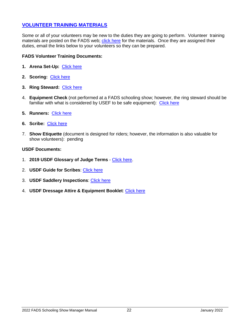#### <span id="page-21-0"></span>**VOLUNTEER TRAINING MATERIALS**

Some or all of your volunteers may be new to the duties they are going to perform. Volunteer training materials are posted on the FADS web; [click here](http://frederickdressage.org/volunteer-training.html) for the materials. Once they are assigned their duties, email the links below to your volunteers so they can be prepared.

#### **FADS Volunteer Training Documents:**

- **1. Arena Set-Up:** [Click here](http://www.frederickdressage.org/uploads/3/7/3/8/37380471/1_2013-volunteer-arenasetup.pdf)
- **2. Scoring:** [Click here](http://www.frederickdressage.org/uploads/3/7/3/8/37380471/volunteer-scoring.pdf)
- **3. Ring Steward:** [Click here](http://www.frederickdressage.org/uploads/3/7/3/8/37380471/3_2013-volunteertraining_ringsteward.pdf)
- 4. **Equipment Check** (not performed at a FADS schooling show; however, the ring steward should be familiar with what is considered by USEF to be safe equipment): [Click here](http://www.frederickdressage.org/uploads/3/7/3/8/37380471/4_2013-volunteertraining_equipmentcheck.pdf)
- **5. Runners:** [Click here](http://www.frederickdressage.org/uploads/3/7/3/8/37380471/5_2013-volunteer-runners.pdf)
- **6. Scribe:** [Click here](http://www.frederickdressage.org/uploads/3/7/3/8/37380471/8_2013-volunteer_scribe.pdf)
- 7. **Show Etiquette** (document is designed for riders; however, the information is also valuable for show volunteers): pending

#### **USDF Documents:**

- 1. **2019 USDF Glossary of Judge Terms** [Click here.](https://www.usdf.org/e-trak/asp/forward.asp?id=991&FPath=http://www.usdf.org/EduDocs/Competition/2019Glossary__final9.2018.pdf)
- 2. **USDF Guide for Scribes**: [Click here](http://www.usdf.org/docs/ShowFlash/web/GeneralInfo/Before/GuideforScribes.pdf)
- 3. **USDF Saddlery Inspections**: [Click here](http://www.usdf.org/docs/ShowFlash/web/GeneralInfo/Before/saddlery.pdf)
- 4. **USDF Dressage Attire & Equipment Booklet**: [Click here](http://www.usdf.org/docs/ShowFlash/web/TechnicalDelegate/Saddlery.pdf)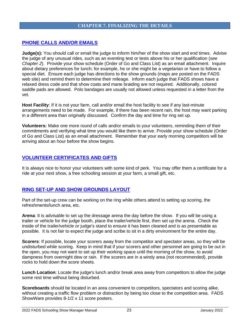#### **CHAPTER 7. FINALIZING THE DETAILS**

#### <span id="page-22-1"></span><span id="page-22-0"></span>**PHONE CALLS AND/OR EMAILS**

**Judge(s):** You should call or email the judge to inform him/her of the show start and end times. Advise the judge of any unusual rides, such as an eventing test or tests above his or her qualification (*see Chapter 2*). Provide your show schedule (Order of Go and Class List) as an email attachment. Inquire about dietary preferences for lunch; for example, he or she might be a vegetarian or have to follow a special diet. Ensure each judge has directions to the show grounds (maps are posted on the FADS web site) and remind them to determine their mileage. Inform each judge that FADS shows have a relaxed dress code and that show coats and mane braiding are not required. Additionally, colored saddle pads are allowed. Polo bandages are usually not allowed unless requested in a letter from the vet.

**Host Facility**: If it is not your farm, call and/or email the host facility to see if any last-minute arrangements need to be made. For example, if there has been recent rain, the host may want parking in a different area than originally discussed. Confirm the day and time for ring set up.

**Volunteers:** Make one more round of calls and/or emails to your volunteers, reminding them of their commitments and verifying what time you would like them to arrive. Provide your show schedule (Order of Go and Class List) as an email attachment. Remember that your early morning competitors will be arriving about an hour before the show begins.

#### <span id="page-22-2"></span>**VOLUNTEER CERTIFICATES AND GIFTS**

It is always nice to honor your volunteers with some kind of perk. You may offer them a certificate for a ride at your next show, a free schooling session at your farm, a small gift, etc.

#### <span id="page-22-3"></span>**RING SET-UP AND SHOW GROUNDS LAYOUT**

Part of the set-up crew can be working on the ring while others attend to setting up scoring, the refreshments/lunch area, etc.

**Arena**: It is advisable to set up the dressage arena the day before the show. If you will be using a trailer or vehicle for the judge booth, place the trailer/vehicle first, then set up the arena. Check the inside of the trailer/vehicle or judge's stand to ensure it has been cleaned and is as presentable as possible. It is not fair to expect the judge and scribe to sit in a dirty environment for the entire day.

**Scorers**: If possible, locate your scorers away from the competitor and spectator areas, so they will be undisturbed while scoring. Keep in mind that if your scorers and other personnel are going to be out in the open, you may not want to set up their working space until the morning of the show, to avoid dampness from overnight dew or rain. If the scorers are in a windy area (not recommended), provide rocks to hold down the score sheets.

**Lunch Location**: Locate the judge's lunch and/or break area away from competitors to allow the judge some rest time without being disturbed.

**Scoreboards** should be located in an area convenient to competitors, spectators and scoring alike, without creating a traffic flow problem or distraction by being too close to the competition area. FADS ShowWare provides 8-1/2 x 11 score posters.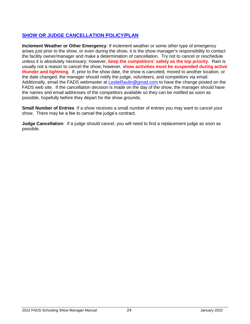# <span id="page-23-0"></span>**SHOW OR JUDGE CANCELLATION POLICY/PLAN**

**Inclement Weather or Other Emergency**: If inclement weather or some other type of emergency arises just prior to the show, or even during the show, it is the show manager's responsibility to contact the facility owner/manager and make a determination of cancellation. Try not to cancel or reschedule unless it is absolutely necessary; however, **keep the competitors' safety as the top priority**. Rain is usually not a reason to cancel the show; however, **show activities must be suspended during active thunder and lightning**. If, prior to the show date, the show is canceled, moved to another location, or the date changed, the manager should notify the judge, volunteers, and competitors via email. Additionally, email the FADS webmaster at [LeslieRaulin@gmail.com](mailto:LeslieRaulin@gmail.com) to have the change posted on the FADS web site. If the cancellation decision is made on the day of the show, the manager should have the names and email addresses of the competitors available so they can be notified as soon as possible, hopefully before they depart for the show grounds.

**Small Number of Entries**: If a show receives a small number of entries you may want to cancel your show. There may be a fee to cancel the judge's contract.

**Judge Cancellation**: If a judge should cancel, you will need to find a replacement judge as soon as possible.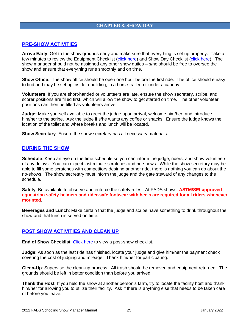#### **CHAPTER 8. SHOW DAY**

#### <span id="page-24-1"></span><span id="page-24-0"></span>**PRE-SHOW ACTIVITIES**

**Arrive Early**: Get to the show grounds early and make sure that everything is set up properly. Take a few minutes to review the Equipment Checklist [\(click here\)](http://www.frederickdressage.org/uploads/3/7/3/8/37380471/fads-showdaychecklist.docx) and Show Day Checklist (click here). The show manager should not be assigned any other show duties – s/he should be free to oversee the show and ensure that everything runs smoothly and on time.

**Show Office**: The show office should be open one hour before the first ride. The office should e easy to find and may be set up inside a building, in a horse trailer, or under a canopy.

**Volunteers**: If you are short-handed or volunteers are late, ensure the show secretary, scribe, and scorer positions are filled first, which will allow the show to get started on time. The other volunteer positions can then be filled as volunteers arrive.

**Judge:** Make yourself available to greet the judge upon arrival, welcome him/her, and introduce him/her to the scribe. Ask the judge if s/he wants any coffee or snacks. Ensure the judge knows the location of the toilet and where breaks and lunch will be located.

**Show Secretary**: Ensure the show secretary has all necessary materials.

#### <span id="page-24-2"></span>**DURING THE SHOW**

**Schedule**: Keep an eye on the time schedule so you can inform the judge, riders, and show volunteers of any delays. You can expect last minute scratches and no-shows. While the show secretary may be able to fill some scratches with competitors desiring another ride, there is nothing you can do about the no-shows. The show secretary must inform the judge and the gate steward of any changes to the schedule.

**Safety**: Be available to observe and enforce the safety rules. At FADS shows, **ASTM/SEI-approved equestrian safety helmets and rider-safe footwear with heels are required for all riders whenever mounted**.

**Beverages and Lunch**: Make certain that the judge and scribe have something to drink throughout the show and that lunch is served on time.

#### <span id="page-24-3"></span>**POST SHOW ACTIVITIES AND CLEAN UP**

**End of Show Checklist:** [Click here](http://www.frederickdressage.org/uploads/3/7/3/8/37380471/fads-endofshowchecklist.docx) to view a post-show checklist.

**Judge**: As soon as the last ride has finished, locate your judge and give him/her the payment check covering the cost of judging and mileage. Thank him/her for participating.

**Clean-Up**: Supervise the clean-up process. All trash should be removed and equipment returned. The grounds should be left in better condition than before you arrived.

**Thank the Host**: If you held the show at another person's farm, try to locate the facility host and thank him/her for allowing you to utilize their facility. Ask if there is anything else that needs to be taken care of before you leave.